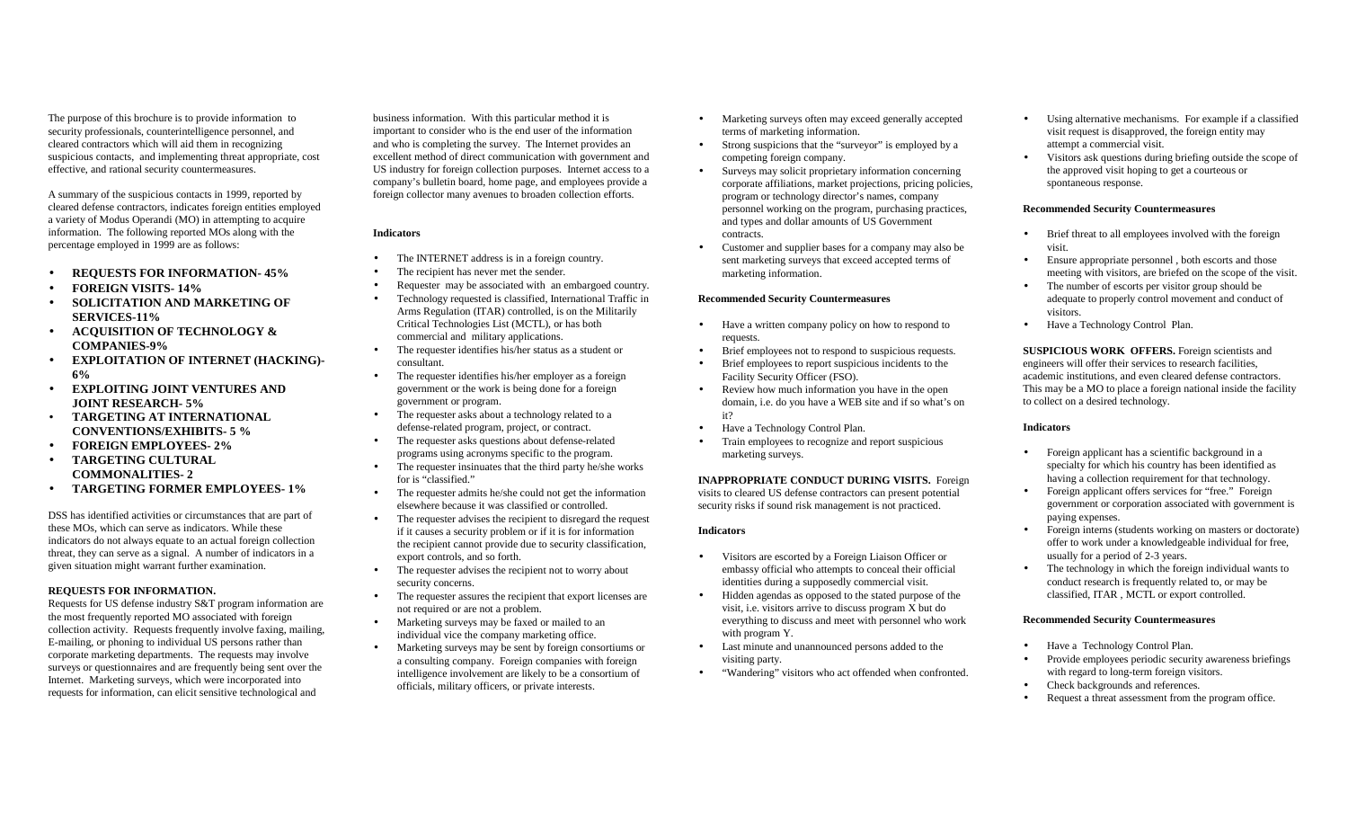The purpose of this brochure is to provide information to security professionals, counterintelligence personnel, and cleared contractors which will aid them in recognizing suspicious contacts, and implementing threat appropriate, cost effective, and rational security countermeasures.

A summary of the suspicious contacts in 1999, reported by cleared defense contractors, indicates foreign entities employed a variety of Modus Operandi (MO) in attempting to acquire information. The following reported MOs along with the percentage employed in 1999 are as follows:

- **REQUESTS FOR INFORMATION- 45%**
- **FOREIGN VISITS- 14%**
- **SOLICITATION AND MARKETING OF SERVICES-11%**
- **ACQUISITION OF TECHNOLOGY & COMPANIES-9%**
- **EXPLOITATION OF INTERNET (HACKING)- 6%**
- **EXPLOITING JOINT VENTURES AND JOINT RESEARCH- 5%**
- **TARGETING AT INTERNATIONAL CONVENTIONS/EXHIBITS- 5 %**
- **FOREIGN EMPLOYEES- 2%**
- **TARGETING CULTURAL COMMONALITIES- 2**
- **TARGETING FORMER EMPLOYEES- 1%**

DSS has identified activities or circumstances that are part of these MOs, which can serve as indicators. While these indicators do not always equate to an actual foreign collection threat, they can serve as a signal. A number of indicators in a given situation might warrant further examination.

#### **REQUESTS FOR INFORMATION.**

Requests for US defense industry S&T program information are the most frequently reported MO associated with foreign collection activity. Requests frequently involve faxing, mailing, E-mailing, or phoning to individual US persons rather than corporate marketing departments. The requests may involve surveys or questionnaires and are frequently being sent over the Internet. Marketing surveys, which were incorporated into requests for information, can elicit sensitive technological and

business information. With this particular method it is important to consider who is the end user of the information and who is completing the survey. The Internet provides an excellent method of direct communication with government and US industry for foreign collection purposes. Internet access to a company's bulletin board, home page, and employees provide a foreign collector many avenues to broaden collection efforts.

#### **Indicators**

- The INTERNET address is in a foreign country.
- The recipient has never met the sender.
- Requester may be associated with an embargoed country. • Technology requested is classified, International Traffic in Arms Regulation (ITAR) controlled, is on the Militarily Critical Technologies List (MCTL), or has both commercial and military applications.
- The requester identifies his/her status as a student or consultant.
- The requester identifies his/her employer as a foreign government or the work is being done for a foreign government or program.
- The requester asks about a technology related to a defense-related program, project, or contract.
- The requester asks questions about defense-related programs using acronyms specific to the program.
- The requester insinuates that the third party he/she works for is "classified."
- The requester admits he/she could not get the information elsewhere because it was classified or controlled.
- The requester advises the recipient to disregard the request if it causes a security problem or if it is for information the recipient cannot provide due to security classification, export controls, and so forth.
- The requester advises the recipient not to worry about security concerns.
- The requester assures the recipient that export licenses are not required or are not a problem.
- Marketing surveys may be faxed or mailed to an individual vice the company marketing office.
- Marketing surveys may be sent by foreign consortiums or a consulting company. Foreign companies with foreign intelligence involvement are likely to be a consortium of officials, military officers, or private interests.
- Marketing surveys often may exceed generally accepted terms of marketing information.
- Strong suspicions that the "surveyor" is employed by a competing foreign company.
- Surveys may solicit proprietary information concerning corporate affiliations, market projections, pricing policies, program or technology director's names, company personnel working on the program, purchasing practices, and types and dollar amounts of US Government contracts.
- Customer and supplier bases for a company may also be sent marketing surveys that exceed accepted terms of marketing information.

#### **Recommended Security Countermeasures**

- Have a written company policy on how to respond to requests.
- Brief employees not to respond to suspicious requests.
- Brief employees to report suspicious incidents to the Facility Security Officer (FSO). Review how much information you have in the open
- domain, i.e. do you have a WEB site and if so what's on it?
- Have a Technology Control Plan.
- Train employees to recognize and report suspicious marketing surveys.

# **INAPPROPRIATE CONDUCT DURING VISITS.** Foreign

visits to cleared US defense contractors can present potential security risks if sound risk management is not practiced.

## **Indicators**

- Visitors are escorted by a Foreign Liaison Officer or embassy official who attempts to conceal their official identities during a supposedly commercial visit.
- Hidden agendas as opposed to the stated purpose of the visit, i.e. visitors arrive to discuss program X but do everything to discuss and meet with personnel who work with program Y.
- Last minute and unannounced persons added to the visiting party.
- "Wandering" visitors who act offended when confronted.
- Using alternative mechanisms. For example if a classified visit request is disapproved, the foreign entity may attempt a commercial visit.
- Visitors ask questions during briefing outside the scope of the approved visit hoping to get a courteous or spontaneous response.

#### **Recommended Security Countermeasures**

- Brief threat to all employees involved with the foreign visit.
- Ensure appropriate personnel, both escorts and those meeting with visitors, are briefed on the scope of the visit.
- The number of escorts per visitor group should be adequate to properly control movement and conduct of visitors.
- Have a Technology Control Plan.

**SUSPICIOUS WORK OFFERS.** Foreign scientists and engineers will offer their services to research facilities, academic institutions, and even cleared defense contractors. This may be a MO to place a foreign national inside the facility to collect on a desired technology.

#### **Indicators**

- Foreign applicant has a scientific background in a specialty for which his country has been identified as having a collection requirement for that technology.
- Foreign applicant offers services for "free." Foreign government or corporation associated with government is paying expenses.
- Foreign interns (students working on masters or doctorate) offer to work under a knowledgeable individual for free, usually for a period of 2-3 years.
- The technology in which the foreign individual wants to conduct research is frequently related to, or may be classified, ITAR , MCTL or export controlled.

#### **Recommended Security Countermeasures**

- Have a Technology Control Plan.
- Provide employees periodic security awareness briefings with regard to long-term foreign visitors.
- Check backgrounds and references.
- Request a threat assessment from the program office.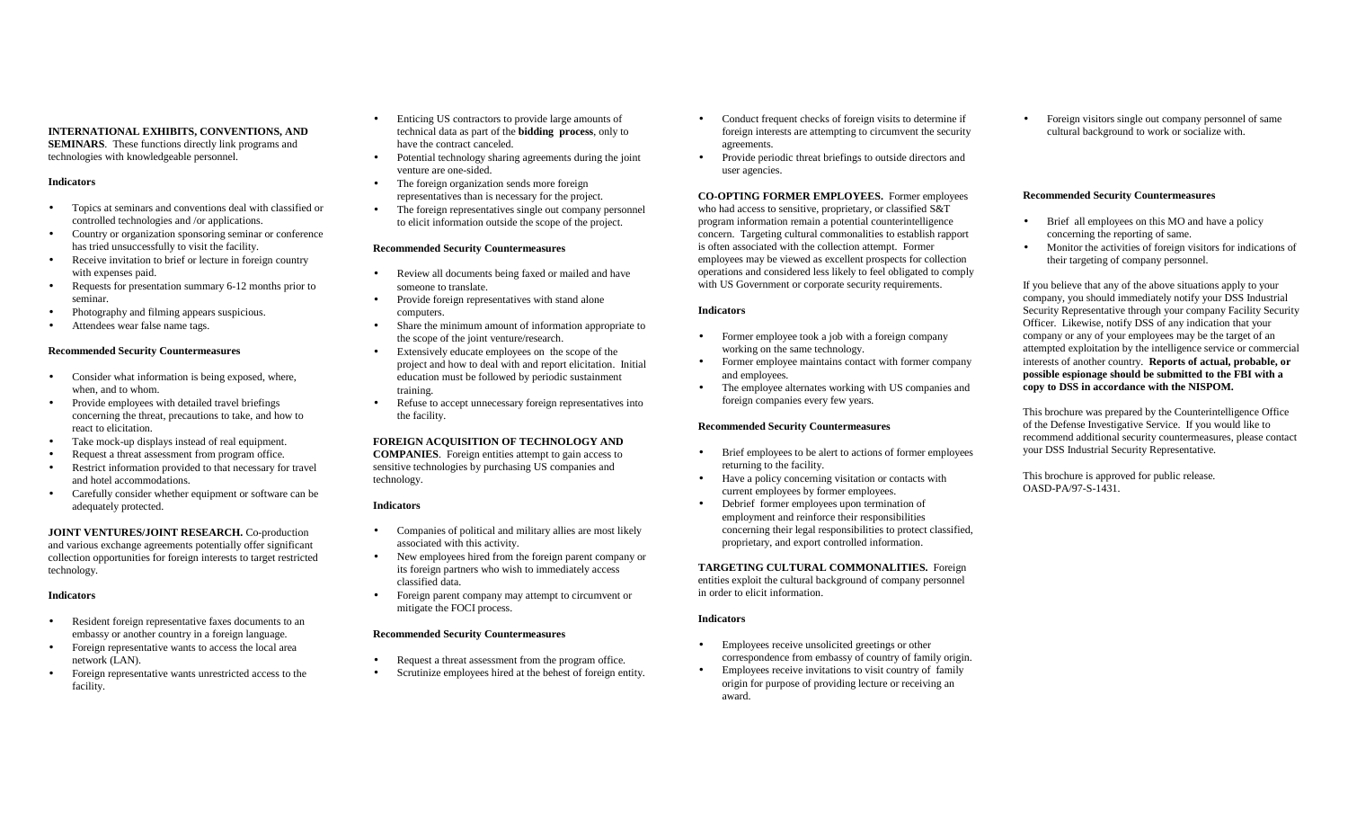#### **INTERNATIONAL EXHIBITS, CONVENTIONS, AND SEMINARS**. These functions directly link programs and technologies with knowledgeable personnel.

#### **Indicators**

- Topics at seminars and conventions deal with classified or controlled technologies and /or applications.
- Country or organization sponsoring seminar or conference has tried unsuccessfully to visit the facility.
- Receive invitation to brief or lecture in foreign country with expenses paid.
- Requests for presentation summary 6-12 months prior to seminar.
- Photography and filming appears suspicious.
- Attendees wear false name tags.

## **Recommended Security Countermeasures**

- Consider what information is being exposed, where, when, and to whom.
- Provide employees with detailed travel briefings concerning the threat, precautions to take, and how to react to elicitation.
- Take mock-up displays instead of real equipment.
- Request a threat assessment from program office.
- Restrict information provided to that necessary for travel and hotel accommodations.
- Carefully consider whether equipment or software can be adequately protected.

**JOINT VENTURES/JOINT RESEARCH.** Co-production and various exchange agreements potentially offer significant collection opportunities for foreign interests to target restricted technology.

## **Indicators**

- Resident foreign representative faxes documents to an embassy or another country in a foreign language.
- Foreign representative wants to access the local area network (LAN).
- Foreign representative wants unrestricted access to the facility.
- Enticing US contractors to provide large amounts of technical data as part of the **bidding process**, only to have the contract canceled.
- Potential technology sharing agreements during the joint venture are one-sided.
- The foreign organization sends more foreign representatives than is necessary for the project.
- The foreign representatives single out company personnel to elicit information outside the scope of the project.

## **Recommended Security Countermeasures**

- Review all documents being faxed or mailed and have someone to translate.
- Provide foreign representatives with stand alone computers.
- Share the minimum amount of information appropriate to the scope of the joint venture/research.
- Extensively educate employees on the scope of the project and how to deal with and report elicitation. Initial education must be followed by periodic sustainment training.
- Refuse to accept unnecessary foreign representatives into the facility.

## **FOREIGN ACQUISITION OF TECHNOLOGY AND**

**COMPANIES**. Foreign entities attempt to gain access to sensitive technologies by purchasing US companies and technology.

## **Indicators**

- Companies of political and military allies are most likely associated with this activity.
- New employees hired from the foreign parent company or its foreign partners who wish to immediately access classified data.
- Foreign parent company may attempt to circumvent or mitigate the FOCI process.

# **Recommended Security Countermeasures**

- Request a threat assessment from the program office.
- Scrutinize employees hired at the behest of foreign entity.
- Conduct frequent checks of foreign visits to determine if foreign interests are attempting to circumvent the security agreements.
- Provide periodic threat briefings to outside directors and user agencies.

# **CO-OPTING FORMER EMPLOYEES.** Former employees

who had access to sensitive, proprietary, or classified S&T program information remain a potential counterintelligence concern. Targeting cultural commonalities to establish rapport is often associated with the collection attempt. Former employees may be viewed as excellent prospects for collection operations and considered less likely to feel obligated to comply with US Government or corporate security requirements.

## **Indicators**

- Former employee took a job with a foreign company working on the same technology.
- Former employee maintains contact with former company and employees.
- The employee alternates working with US companies and foreign companies every few years.

## **Recommended Security Countermeasures**

- Brief employees to be alert to actions of former employees returning to the facility.
- Have a policy concerning visitation or contacts with current employees by former employees.
- Debrief former employees upon termination of employment and reinforce their responsibilities concerning their legal responsibilities to protect classified, proprietary, and export controlled information.

**TARGETING CULTURAL COMMONALITIES.** Foreign entities exploit the cultural background of company personnel in order to elicit information.

## **Indicators**

- Employees receive unsolicited greetings or other correspondence from embassy of country of family origin.
- Employees receive invitations to visit country of family origin for purpose of providing lecture or receiving an award.

• Foreign visitors single out company personnel of same cultural background to work or socialize with.

## **Recommended Security Countermeasures**

- Brief all employees on this MO and have a policy concerning the reporting of same.
- Monitor the activities of foreign visitors for indications of their targeting of company personnel.

If you believe that any of the above situations apply to your company, you should immediately notify your DSS Industrial Security Representative through your company Facility Security Officer. Likewise, notify DSS of any indication that your company or any of your employees may be the target of an attempted exploitation by the intelligence service or commercial interests of another country. **Reports of actual, probable, or possible espionage should be submitted to the FBI with a copy to DSS in accordance with the NISPOM.**

This brochure was prepared by the Counterintelligence Office of the Defense Investigative Service. If you would like to recommend additional security countermeasures, please contact your DSS Industrial Security Representative.

This brochure is approved for public release. OASD-PA/97-S-1431.